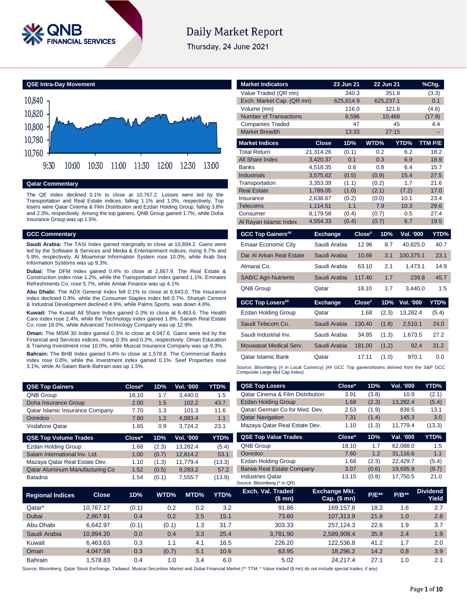

# **Daily Market Report**

Thursday, 24 June 2021



### **Qatar Commentary**

The QE Index declined 0.1% to close at 10,767.2. Losses were led by the Transportation and Real Estate indices, falling 1.1% and 1.0%, respectively. Top losers were Qatar Cinema & Film Distribution and Ezdan Holding Group, falling 3.8% and 2.3%, respectively. Among the top gainers, QNB Group gained 1.7%, while Doha Insurance Group was up 1.5%.

#### **GCC Commentary**

Source: Bloomberg, Qatar

**Saudi Arabia:** The TASI Index gained marginally to close at 10,894.2. Gains were led by the Software & Services and Media & Entertainment indices, rising 9.7% and 5.9%, respectively. Al Moammar Information System rose 10.0%, while Arab Sea Information Systems was up 9.3%.

**Dubai:** The DFM Index gained 0.4% to close at 2,867.9. The Real Estate & Construction index rose 1.2%, while the Transportation index gained 1.1%. Emirates Refreshments Co. rose 5.7%, while Amlak Finance was up 4.1%.

**Abu Dhabi:** The ADX General Index fell 0.1% to close at 6,643.0. The Insurance index declined 0.9%, while the Consumer Staples index fell 0.7%. Sharjah Cement & Industrial Development declined 4.9%, while Palms Sports. was down 4.8%.

**Kuwait:** The Kuwait All Share Index gained 0.3% to close at 6,463.6. The Health Care index rose 2.4%, while the Technology index gained 1.8%. Sanam Real Estate Co. rose 18.0%, while Advanced Technology Company was up 12.9%.

**Oman:** The MSM 30 Index gained 0.3% to close at 4,047.6. Gains were led by the Financial and Services indices, rising 0.3% and 0.2%, respectively. Oman Education & Training Investment rose 10.0%, while Muscat Insurance Company was up 9.3%.

**Bahrain:** The BHB Index gained 0.4% to close at 1,578.8. The Commercial Banks index rose 0.8%, while the Investment index gained 0.1%. Seef Properties rose 3.1%, while Al-Salam Bank-Bahrain was up 1.5%.

| <b>Market Indicators</b>                                                                                                      |                      | 23 Jun 21 |           | 22 Jun 21    |                  | %Chg.        |
|-------------------------------------------------------------------------------------------------------------------------------|----------------------|-----------|-----------|--------------|------------------|--------------|
| Value Traded (QR mn)                                                                                                          |                      |           | 340.3     | 351.8        |                  | (3.3)        |
| Exch. Market Cap. (QR mn)                                                                                                     |                      | 625.814.9 |           | 625.237.1    |                  | 0.1          |
| Volume (mn)                                                                                                                   |                      |           | 116.0     | 121.6        |                  | (4.6)        |
| <b>Number of Transactions</b>                                                                                                 |                      |           | 8.596     | 10,468       |                  | (17.9)       |
| <b>Companies Traded</b>                                                                                                       |                      |           | 47        |              | 45               | 4.4          |
| <b>Market Breadth</b>                                                                                                         |                      |           | 13:33     | 27:15        |                  |              |
| <b>Market Indices</b>                                                                                                         | <b>Close</b>         | 1D%       |           | WTD%         | YTD%             | TTM P/E      |
| Total Return                                                                                                                  | 21,314.26            | (0.1)     |           | 0.2          | 6.2              | 18.2         |
| All Share Index                                                                                                               | 3,420.37             |           | 0.1       | 0.3          | 6.9              | 18.9         |
| <b>Banks</b>                                                                                                                  | 4,518.35             |           | 0.6       | 0.8          | 6.4              | 15.7         |
| <b>Industrials</b>                                                                                                            | 3.575.62             | (0.5)     |           | (0.9)        | 15.4             | 27.5         |
| Transportation                                                                                                                | 3,353.39             | (1.1)     |           | (0.2)        | 1.7              | 21.6         |
| <b>Real Estate</b>                                                                                                            | 1,789.05             | (1.0)     |           | (2.1)        | (7.2)            | 17.0         |
| Insurance                                                                                                                     | 2.638.67             | (0.2)     |           | (0.0)        | 10.1             | 23.4         |
| Telecoms<br>Consumer                                                                                                          | 1,114.51<br>8.179.58 | (0.4)     | 1.1       | 7.9<br>(0.7) | 10.3<br>0.5      | 29.6<br>27.4 |
| Al Rayan Islamic Index                                                                                                        | 4,554.33             | (0.4)     |           | (0.7)        | 6.7              | 19.5         |
|                                                                                                                               |                      |           |           |              |                  |              |
| <b>GCC Top Gainers##</b>                                                                                                      | <b>Exchange</b>      |           | Close#    | 1D%          | <b>Vol. '000</b> | YTD%         |
| <b>Emaar Economic City</b>                                                                                                    | Saudi Arabia         |           | 12.96     | 8.7          | 40,825.0         | 40.7         |
| Dar Al Arkan Real Estate                                                                                                      | Saudi Arabia         |           | 10.66     | 3.1          | 100,375.1        | 23.1         |
| Almarai Co.                                                                                                                   | Saudi Arabia         |           | 63.10     | 2.1          | 1.473.1          | 14.9         |
| <b>SABIC Agri-Nutrients</b>                                                                                                   | Saudi Arabia         |           | 117.40    | 1.7          | 239.8            | 45.7         |
| <b>QNB Group</b>                                                                                                              | Qatar                |           | 18.10     | 1.7          | 3,440.0          | 1.5          |
| <b>GCC Top Losers##</b>                                                                                                       | <b>Exchange</b>      |           | $Close^*$ | 1D%          | <b>Vol. '000</b> | YTD%         |
| <b>Ezdan Holding Group</b>                                                                                                    | Qatar                |           | 1.68      | (2.3)        | 13.282.4         | (5.4)        |
| Saudi Telecom Co.                                                                                                             | Saudi Arabia         |           | 130.40    | (1.8)        | 2,510.1          | 24.0         |
| Saudi Industrial Inv.                                                                                                         | Saudi Arabia         |           | 34.85     | (1.3)        | 1,673.5          | 27.2         |
| Mouwasat Medical Serv.                                                                                                        | Saudi Arabia         |           | 181.00    | (1.2)        | 92.4             | 31.2         |
| Qatar Islamic Bank                                                                                                            | Qatar                |           | 17.11     | (1.0)        | 970.1            | 0.0          |
| Source: Bloomberg (# in Local Currency) (## GCC Top gainers/losers derived from the S&P GCC<br>Composite Large Mid Cap Index) |                      |           |           |              |                  |              |

| <b>QSE Top Gainers</b>          |              | Close* | 1D%   | Vol. '000 | YTD%   | <b>QSE Top Losers</b>                                                                                                                                                       | Close*                                 | 1D%      | Vol. '000 | YTD%                     |
|---------------------------------|--------------|--------|-------|-----------|--------|-----------------------------------------------------------------------------------------------------------------------------------------------------------------------------|----------------------------------------|----------|-----------|--------------------------|
| QNB Group                       |              | 18.10  | 1.7   | 3,440.0   | 1.5    | <b>Qatar Cinema &amp; Film Distribution</b>                                                                                                                                 | 3.91                                   | (3.8)    | 10.9      | (2.1)                    |
| Doha Insurance Group            |              | 2.00   | 1.5   | 102.2     | 43.7   | <b>Ezdan Holding Group</b>                                                                                                                                                  | 1.68                                   | (2.3)    | 13,282.4  | (5.4)                    |
| Qatar Islamic Insurance Company |              | 7.70   | 1.3   | 101.3     | 11.6   | Qatari German Co for Med. Dev.                                                                                                                                              | 2.53                                   | (1.9)    | 838.5     | 13.1                     |
| Ooredoo                         |              | 7.60   | 1.2   | 4,083.4   | 1.1    | <b>Qatar Navigation</b>                                                                                                                                                     | 7.31                                   | (1.4)    | 145.3     | 3.0                      |
| <b>Vodafone Qatar</b>           |              | 1.65   | 0.9   | 3,724.2   | 23.1   | Mazaya Qatar Real Estate Dev.                                                                                                                                               | 1.10                                   | (1.3)    | 11,779.4  | (13.3)                   |
| <b>QSE Top Volume Trades</b>    |              | Close* | 1D%   | Vol. '000 | YTD%   | <b>QSE Top Value Trades</b>                                                                                                                                                 | Close*                                 | 1D%      | Val. '000 | YTD%                     |
| <b>Ezdan Holding Group</b>      |              | 1.68   | (2.3) | 13,282.4  | (5.4)  | QNB Group                                                                                                                                                                   | 18.10                                  | 1.7      | 62,088.0  | 1.5                      |
| Salam International Inv. Ltd.   |              | 1.00   | (0.7) | 12,814.2  | 53.1   | Ooredoo                                                                                                                                                                     | 7.60                                   | 1.2      | 31,116.6  | 1.1                      |
| Mazaya Qatar Real Estate Dev.   |              | 1.10   | (1.3) | 11,779.4  | (13.3) | Ezdan Holding Group                                                                                                                                                         | 1.68                                   | (2.3)    | 22,429.7  | (5.4)                    |
| Qatar Aluminum Manufacturing Co |              | 1.52   | (0.5) | 9,293.2   | 57.2   | <b>Barwa Real Estate Company</b>                                                                                                                                            | 3.07                                   | (0.6)    | 19,695.9  | (9.7)                    |
| <b>Baladna</b>                  |              | 1.54   | (0.1) | 7,555.7   | (13.9) | <b>Industries Qatar</b><br>Source: Bloomberg (* in QR)                                                                                                                      | 13.15                                  | (0.8)    | 17,750.5  | 21.0                     |
| <b>Regional Indices</b>         | <b>Close</b> | 1D%    | WTD%  | MTD%      | YTD%   | Exch. Val. Traded<br>$$ \mathsf{mn} \$                                                                                                                                      | <b>Exchange Mkt.</b><br>$Cap.$ (\$ mn) | $P/E***$ | $P/B**$   | <b>Dividend</b><br>Yield |
| Qatar*                          | 10,767.17    | (0.1)  | 0.2   | 0.2       | 3.2    | 91.86                                                                                                                                                                       | 169,157.8                              | 18.2     | 1.6       | 2.7                      |
| Dubai                           | 2,867.91     | 0.4    | 0.2   | 2.5       | 15.1   | 73.60                                                                                                                                                                       | 107,313.9                              | 21.8     | 1.0       | 2.8                      |
| Abu Dhabi                       | 6,642.97     | (0.1)  | (0.1) | 1.3       | 31.7   | 303.33                                                                                                                                                                      | 257,124.3                              | 22.6     | 1.9       | 3.7                      |
| Saudi Arabia                    | 10,894.20    | 0.0    | 0.4   | 3.3       | 25.4   | 3,781.90                                                                                                                                                                    | 2,589,908.4                            | 35.9     | 2.4       | 1.9                      |
| Kuwait                          | 6,463.63     | 0.3    | 1.1   | 4.1       | 16.5   | 226.20                                                                                                                                                                      | 122,536.8                              | 41.2     | 1.7       | 2.0                      |
| Oman                            | 4,047.58     | 0.3    | (0.7) | 5.1       | 10.6   | 63.95                                                                                                                                                                       | 18,296.2                               | 14.2     | 0.8       | 3.9                      |
| <b>Bahrain</b>                  | 1,578.83     | 0.4    | 1.0   | 3.4       | 6.0    | 5.02                                                                                                                                                                        | 24,217.4                               | 27.1     | 1.0       | 2.1                      |
|                                 |              |        |       |           |        | uurce: Bloomberg, Qatar Stock Exchange, Tadawul, Muscat Securities Market and Dubai Financial Market (** TTM; * Value traded (\$ mn) do not include special trades, if any) |                                        |          |           |                          |
|                                 |              |        |       |           |        |                                                                                                                                                                             |                                        |          |           |                          |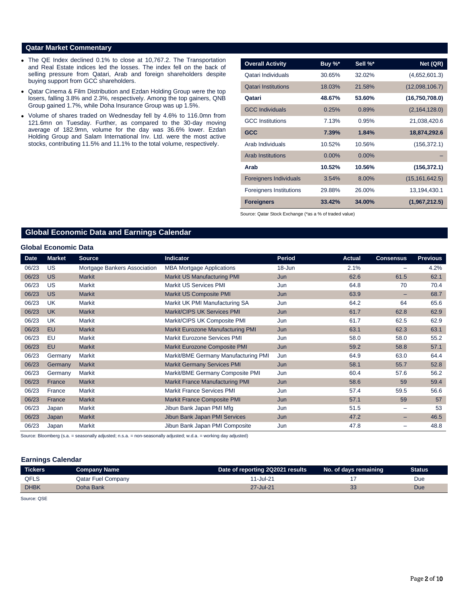#### **Qatar Market Commentary**

- The QE Index declined 0.1% to close at 10,767.2. The Transportation and Real Estate indices led the losses. The index fell on the back of selling pressure from Qatari, Arab and foreign shareholders despite buying support from GCC shareholders.
- Qatar Cinema & Film Distribution and Ezdan Holding Group were the top losers, falling 3.8% and 2.3%, respectively. Among the top gainers, QNB Group gained 1.7%, while Doha Insurance Group was up 1.5%.
- Volume of shares traded on Wednesday fell by 4.6% to 116.0mn from 121.6mn on Tuesday. Further, as compared to the 30-day moving average of 182.9mn, volume for the day was 36.6% lower. Ezdan Holding Group and Salam International Inv. Ltd. were the most active stocks, contributing 11.5% and 11.1% to the total volume, respectively.

| <b>Overall Activity</b>        | Buy %*   | Sell %*  | Net (QR)         |
|--------------------------------|----------|----------|------------------|
| Oatari Individuals             | 30.65%   | 32.02%   | (4,652,601.3)    |
| <b>Qatari Institutions</b>     | 18.03%   | 21.58%   | (12,098,106.7)   |
| Qatari                         | 48.67%   | 53.60%   | (16,750,708.0)   |
| <b>GCC Individuals</b>         | 0.25%    | 0.89%    | (2, 164, 128.0)  |
| <b>GCC</b> Institutions        | 7.13%    | 0.95%    | 21,038,420.6     |
| <b>GCC</b>                     | 7.39%    | 1.84%    | 18,874,292.6     |
| Arab Individuals               | 10.52%   | 10.56%   | (156, 372.1)     |
| <b>Arab Institutions</b>       | $0.00\%$ | $0.00\%$ |                  |
| Arab                           | 10.52%   | 10.56%   | (156, 372.1)     |
| <b>Foreigners Individuals</b>  | 3.54%    | $8.00\%$ | (15, 161, 642.5) |
| <b>Foreigners Institutions</b> | 29.88%   | 26.00%   | 13,194,430.1     |
| <b>Foreigners</b>              | 33.42%   | 34.00%   | (1,967,212.5)    |

Source: Qatar Stock Exchange (\*as a % of traded value)

### **Global Economic Data and Earnings Calendar**

#### **Global Economic Data**

| <b>Date</b> | <b>Market</b>  | <b>Source</b>                | Indicator                              | <b>Period</b> | <b>Actual</b> | <b>Consensus</b> | <b>Previous</b> |
|-------------|----------------|------------------------------|----------------------------------------|---------------|---------------|------------------|-----------------|
| 06/23       | US             | Mortgage Bankers Association | <b>MBA Mortgage Applications</b>       | 18-Jun        | 2.1%          |                  | 4.2%            |
| 06/23       | <b>US</b>      | <b>Markit</b>                | Markit US Manufacturing PMI            | Jun           | 62.6          | 61.5             | 62.1            |
| 06/23       | <b>US</b>      | Markit                       | Markit US Services PMI                 | Jun           | 64.8          | 70               | 70.4            |
| 06/23       | <b>US</b>      | <b>Markit</b>                | Markit US Composite PMI                | Jun           | 63.9          |                  | 68.7            |
| 06/23       | <b>UK</b>      | Markit                       | Markit UK PMI Manufacturing SA         | Jun           | 64.2          | 64               | 65.6            |
| 06/23       | <b>UK</b>      | <b>Markit</b>                | Markit/CIPS UK Services PMI            | Jun           | 61.7          | 62.8             | 62.9            |
| 06/23       | <b>UK</b>      | Markit                       | Markit/CIPS UK Composite PMI           | Jun           | 61.7          | 62.5             | 62.9            |
| 06/23       | <b>EU</b>      | <b>Markit</b>                | Markit Eurozone Manufacturing PMI      | Jun           | 63.1          | 62.3             | 63.1            |
| 06/23       | EU             | Markit                       | Markit Eurozone Services PMI           | Jun           | 58.0          | 58.0             | 55.2            |
| 06/23       | <b>EU</b>      | <b>Markit</b>                | Markit Eurozone Composite PMI          | Jun           | 59.2          | 58.8             | 57.1            |
| 06/23       | Germany        | Markit                       | Markit/BME Germany Manufacturing PMI   | Jun           | 64.9          | 63.0             | 64.4            |
| 06/23       | <b>Germany</b> | Markit                       | <b>Markit Germany Services PMI</b>     | Jun           | 58.1          | 55.7             | 52.8            |
| 06/23       | Germany        | Markit                       | Markit/BME Germany Composite PMI       | Jun           | 60.4          | 57.6             | 56.2            |
| 06/23       | France         | <b>Markit</b>                | <b>Markit France Manufacturing PMI</b> | Jun           | 58.6          | 59               | 59.4            |
| 06/23       | France         | Markit                       | <b>Markit France Services PMI</b>      | Jun           | 57.4          | 59.5             | 56.6            |
| 06/23       | France         | <b>Markit</b>                | <b>Markit France Composite PMI</b>     | Jun           | 57.1          | 59               | 57              |
| 06/23       | Japan          | Markit                       | Jibun Bank Japan PMI Mfg               | Jun           | 51.5          |                  | 53              |
| 06/23       | Japan          | Markit                       | Jibun Bank Japan PMI Services          | Jun           | 47.2          | -                | 46.5            |
| 06/23       | Japan          | Markit                       | Jibun Bank Japan PMI Composite         | Jun           | 47.8          |                  | 48.8            |

Source: Bloomberg (s.a. = seasonally adjusted; n.s.a. = non-seasonally adjusted; w.d.a. = working day adjusted)

#### **Earnings Calendar**

| <b>Tickers</b> | <b>Company Name</b> | Date of reporting 2Q2021 results | No. of days remaining | <b>Status</b> |
|----------------|---------------------|----------------------------------|-----------------------|---------------|
| <b>QFLS</b>    | Qatar Fuel Company  | 11-Jul-21                        |                       | Due           |
| <b>DHBK</b>    | Doha Bank           | 27-Jul-21                        | 33                    | Due           |

Source: QSE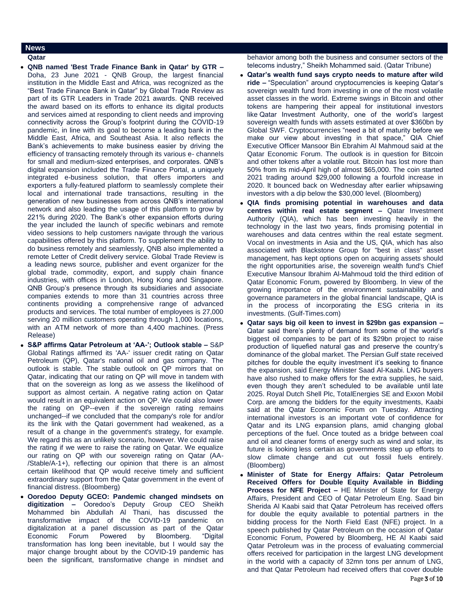#### **News**

**Qatar** 

- **QNB named 'Best Trade Finance Bank in Qatar' by GTR –** Doha, 23 June 2021 - QNB Group, the largest financial institution in the Middle East and Africa, was recognized as the "Best Trade Finance Bank in Qatar" by Global Trade Review as part of its GTR Leaders in Trade 2021 awards. QNB received the award based on its efforts to enhance its digital products and services aimed at responding to client needs and improving connectivity across the Group's footprint during the COVID-19 pandemic, in line with its goal to become a leading bank in the Middle East, Africa, and Southeast Asia. It also reflects the Bank's achievements to make business easier by driving the efficiency of transacting remotely through its various e- channels for small and medium-sized enterprises, and corporates. QNB's digital expansion included the Trade Finance Portal, a uniquely integrated e-business solution, that offers importers and exporters a fully-featured platform to seamlessly complete their local and international trade transactions, resulting in the generation of new businesses from across QNB's international network and also leading the usage of this platform to grow by 221% during 2020. The Bank's other expansion efforts during the year included the launch of specific webinars and remote video sessions to help customers navigate through the various capabilities offered by this platform. To supplement the ability to do business remotely and seamlessly, QNB also implemented a remote Letter of Credit delivery service. Global Trade Review is a leading news source, publisher and event organizer for the global trade, commodity, export, and supply chain finance industries, with offices in London, Hong Kong and Singapore. QNB Group's presence through its subsidiaries and associate companies extends to more than 31 countries across three continents providing a comprehensive range of advanced products and services. The total number of employees is 27,000 serving 20 million customers operating through 1,000 locations, with an ATM network of more than 4,400 machines. (Press Release)
- **S&P affirms Qatar Petroleum at 'AA-'; Outlook stable –** S&P Global Ratings affirmed its 'AA-' issuer credit rating on Qatar Petroleum (QP), Qatar's national oil and gas company. The outlook is stable. The stable outlook on QP mirrors that on Qatar, indicating that our rating on QP will move in tandem with that on the sovereign as long as we assess the likelihood of support as almost certain. A negative rating action on Qatar would result in an equivalent action on QP. We could also lower the rating on QP--even if the sovereign rating remains unchanged--if we concluded that the company's role for and/or its the link with the Qatari government had weakened, as a result of a change in the government's strategy, for example. We regard this as an unlikely scenario, however. We could raise the rating if we were to raise the rating on Qatar. We equalize our rating on QP with our sovereign rating on Qatar (AA- /Stable/A-1+), reflecting our opinion that there is an almost certain likelihood that QP would receive timely and sufficient extraordinary support from the Qatar government in the event of financial distress. (Bloomberg)
- **Ooredoo Deputy GCEO: Pandemic changed mindsets on digitization –** Ooredoo's Deputy Group CEO Sheikh Mohammed bin Abdullah Al Thani, has discussed the transformative impact of the COVID-19 pandemic on digitalization at a panel discussion as part of the Qatar<br>Economic Forum Powered by Bloomberg. "Digital Economic Forum Powered by Bloomberg. "Digital transformation has long been inevitable, but I would say the major change brought about by the COVID-19 pandemic has been the significant, transformative change in mindset and

behavior among both the business and consumer sectors of the telecoms industry," Sheikh Mohammed said. (Qatar Tribune)

- **Qatar's wealth fund says crypto needs to mature after wild ride –** "Speculation" around cryptocurrencies is keeping Qatar's sovereign wealth fund from investing in one of the most volatile asset classes in the world. Extreme swings in Bitcoin and other tokens are hampering their appeal for institutional investors like Qatar Investment Authority, one of the world's largest sovereign wealth funds with assets estimated at over \$360bn by Global SWF. Cryptocurrencies "need a bit of maturity before we make our view about investing in that space," QIA Chief Executive Officer Mansoor Bin Ebrahim Al Mahmoud said at the Qatar Economic Forum. The outlook is in question for Bitcoin and other tokens after a volatile rout. Bitcoin has lost more than 50% from its mid-April high of almost \$65,000. The coin started 2021 trading around \$29,000 following a fourfold increase in 2020. It bounced back on Wednesday after earlier whipsawing investors with a dip below the \$30,000 level. (Bloomberg)
- **QIA finds promising potential in warehouses and data centres within real estate segment –** Qatar Investment Authority (QIA), which has been investing heavily in the technology in the last two years, finds promising potential in warehouses and data centres within the real estate segment. Vocal on investments in Asia and the US, QIA, which has also associated with Blackstone Group for "best in class" asset management, has kept options open on acquiring assets should the right opportunities arise, the sovereign wealth fund's Chief Executive Mansour Ibrahim Al-Mahmoud told the third edition of Qatar Economic Forum, powered by Bloomberg. In view of the growing importance of the environment sustainability and governance parameters in the global financial landscape, QIA is in the process of incorporating the ESG criteria in its investments. (Gulf-Times.com)
- **Qatar says big oil keen to invest in \$29bn gas expansion –** Qatar said there's plenty of demand from some of the world's biggest oil companies to be part of its \$29bn project to raise production of liquefied natural gas and preserve the country's dominance of the global market. The Persian Gulf state received pitches for double the equity investment it's seeking to finance the expansion, said Energy Minister Saad Al-Kaabi. LNG buyers have also rushed to make offers for the extra supplies, he said, even though they aren't scheduled to be available until late 2025. Royal Dutch Shell Plc, TotalEnergies SE and Exxon Mobil Corp. are among the bidders for the equity investments, Kaabi said at the Qatar Economic Forum on Tuesday. Attracting international investors is an important vote of confidence for Qatar and its LNG expansion plans, amid changing global perceptions of the fuel. Once touted as a bridge between coal and oil and cleaner forms of energy such as wind and solar, its future is looking less certain as governments step up efforts to slow climate change and cut out fossil fuels entirely. (Bloomberg)
- **Minister of State for Energy Affairs: Qatar Petroleum Received Offers for Double Equity Available in Bidding Process for NFE Project –** HE Minister of State for Energy Affairs, President and CEO of Qatar Petroleum Eng. Saad bin Sherida Al Kaabi said that Qatar Petroleum has received offers for double the equity available to potential partners in the bidding process for the North Field East (NFE) project. In a speech published by Qatar Petroleum on the occasion of Qatar Economic Forum, Powered by Bloomberg, HE Al Kaabi said Qatar Petroleum was in the process of evaluating commercial offers received for participation in the largest LNG development in the world with a capacity of 32mn tons per annum of LNG, and that Qatar Petroleum had received offers that cover double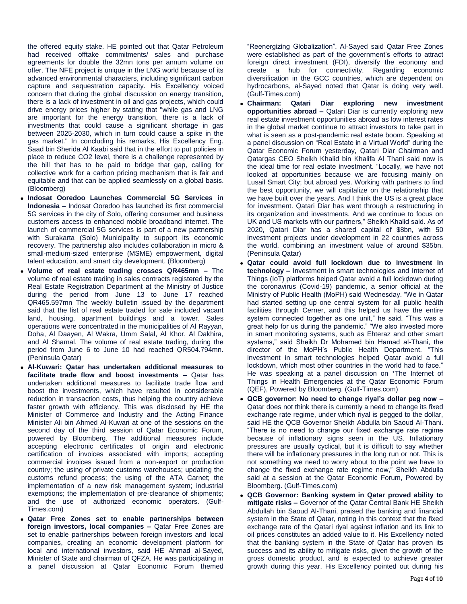the offered equity stake. HE pointed out that Qatar Petroleum had received offtake commitments/ sales and purchase agreements for double the 32mn tons per annum volume on offer. The NFE project is unique in the LNG world because of its advanced environmental characters, including significant carbon capture and sequestration capacity. His Excellency voiced concern that during the global discussion on energy transition, there is a lack of investment in oil and gas projects, which could drive energy prices higher by stating that "while gas and LNG are important for the energy transition, there is a lack of investments that could cause a significant shortage in gas between 2025-2030, which in turn could cause a spike in the gas market." In concluding his remarks, His Excellency Eng. Saad bin Sherida Al Kaabi said that in the effort to put policies in place to reduce CO2 level, there is a challenge represented by the bill that has to be paid to bridge that gap, calling for collective work for a carbon pricing mechanism that is fair and equitable and that can be applied seamlessly on a global basis. (Bloomberg)

- **Indosat Ooredoo Launches Commercial 5G Services in Indonesia –** Indosat Ooredoo has launched its first commercial 5G services in the city of Solo, offering consumer and business customers access to enhanced mobile broadband internet. The launch of commercial 5G services is part of a new partnership with Surakarta (Solo) Municipality to support its economic recovery. The partnership also includes collaboration in micro & small-medium-sized enterprise (MSME) empowerment, digital talent education, and smart city development. (Bloomberg)
- **Volume of real estate trading crosses QR465mn –** The volume of real estate trading in sales contracts registered by the Real Estate Registration Department at the Ministry of Justice during the period from June 13 to June 17 reached QR465.597mn The weekly bulletin issued by the department said that the list of real estate traded for sale included vacant land, housing, apartment buildings and a tower. Sales operations were concentrated in the municipalities of Al Rayyan, Doha, Al Daayen, Al Wakra, Umm Salal, Al Khor, Al Dakhira, and Al Shamal. The volume of real estate trading, during the period from June 6 to June 10 had reached QR504.794mn. (Peninsula Qatar)
- **Al-Kuwari: Qatar has undertaken additional measures to facilitate trade flow and boost investments –** Qatar has undertaken additional measures to facilitate trade flow and boost the investments, which have resulted in considerable reduction in transaction costs, thus helping the country achieve faster growth with efficiency. This was disclosed by HE the Minister of Commerce and Industry and the Acting Finance Minister Ali bin Ahmed Al-Kuwari at one of the sessions on the second day of the third session of Qatar Economic Forum, powered by Bloomberg. The additional measures include accepting electronic certificates of origin and electronic certification of invoices associated with imports; accepting commercial invoices issued from a non-export or production country; the using of private customs warehouses; updating the customs refund process; the using of the ATA Carnet; the implementation of a new risk management system; industrial exemptions; the implementation of pre-clearance of shipments; and the use of authorized economic operators. (Gulf-Times.com)
- **Qatar Free Zones set to enable partnerships between foreign investors, local companies –** Qatar Free Zones are set to enable partnerships between foreign investors and local companies, creating an economic development platform for local and international investors, said HE Ahmad al-Sayed, Minister of State and chairman of QFZA. He was participating in a panel discussion at Qatar Economic Forum themed

"Reenergizing Globalization". Al-Sayed said Qatar Free Zones were established as part of the government's efforts to attract foreign direct investment (FDI), diversify the economy and create a hub for connectivity. Regarding economic diversification in the GCC countries, which are dependent on hydrocarbons, al-Sayed noted that Qatar is doing very well. (Gulf-Times.com)

- **Chairman: Qatari Diar exploring new investment opportunities abroad –** Qatari Diar is currently exploring new real estate investment opportunities abroad as low interest rates in the global market continue to attract investors to take part in what is seen as a post-pandemic real estate boom. Speaking at a panel discussion on "Real Estate in a Virtual World" during the Qatar Economic Forum yesterday, Qatari Diar Chairman and Qatargas CEO Sheikh Khalid bin Khalifa Al Thani said now is the ideal time for real estate investment. "Locally, we have not looked at opportunities because we are focusing mainly on Lusail Smart City; but abroad yes. Working with partners to find the best opportunity, we will capitalize on the relationship that we have built over the years. And I think the US is a great place for investment. Qatari Diar has went through a restructuring in its organization and investments. And we continue to focus on UK and US markets with our partners," Sheikh Khalid said. As of 2020, Qatari Diar has a shared capital of \$8bn, with 50 investment projects under development in 22 countries across the world, combining an investment value of around \$35bn. (Peninsula Qatar)
- **Qatar could avoid full lockdown due to investment in technology –** Investment in smart technologies and Internet of Things (IoT) platforms helped Qatar avoid a full lockdown during the coronavirus (Covid-19) pandemic, a senior official at the Ministry of Public Health (MoPH) said Wednesday. "We in Qatar had started setting up one central system for all public health facilities through Cerner, and this helped us have the entire system connected together as one unit," he said. "This was a great help for us during the pandemic." "We also invested more in smart monitoring systems, such as Ehteraz and other smart systems," said Sheikh Dr Mohamed bin Hamad al-Thani, the director of the MoPH's Public Health Department. "This investment in smart technologies helped Qatar avoid a full lockdown, which most other countries in the world had to face." He was speaking at a panel discussion on \*The Internet of Things in Health Emergencies at the Qatar Economic Forum (QEF), Powered by Bloomberg. (Gulf-Times.com)
- **QCB governor: No need to change riyal's dollar peg now –** Qatar does not think there is currently a need to change its fixed exchange rate regime, under which riyal is pegged to the dollar, said HE the QCB Governor Sheikh Abdulla bin Saoud Al-Thani. "There is no need to change our fixed exchange rate regime because of inflationary signs seen in the US. Inflationary pressures are usually cyclical, but it is difficult to say whether there will be inflationary pressures in the long run or not. This is not something we need to worry about to the point we have to change the fixed exchange rate regime now," Sheikh Abdulla said at a session at the Qatar Economic Forum, Powered by Bloomberg. (Gulf-Times.com)
- **QCB Governor: Banking system in Qatar proved ability to mitigate risks –** Governor of the Qatar Central Bank HE Sheikh Abdullah bin Saoud Al-Thani, praised the banking and financial system in the State of Qatar, noting in this context that the fixed exchange rate of the Qatari riyal against inflation and its link to oil prices constitutes an added value to it. His Excellency noted that the banking system in the State of Qatar has proven its success and its ability to mitigate risks, given the growth of the gross domestic product, and is expected to achieve greater growth during this year. His Excellency pointed out during his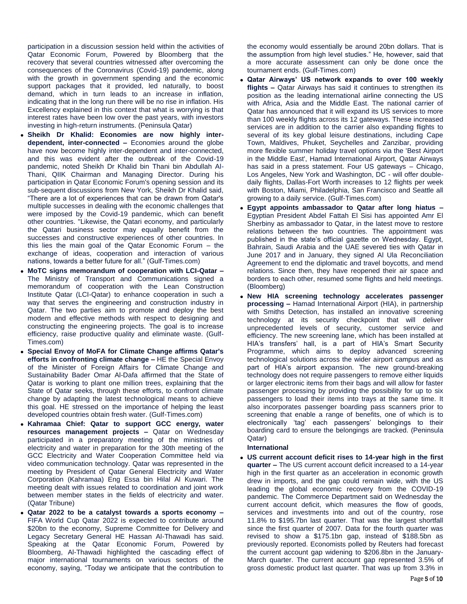participation in a discussion session held within the activities of Qatar Economic Forum, Powered by Bloomberg that the recovery that several countries witnessed after overcoming the consequences of the Coronavirus (Covid-19) pandemic, along with the growth in government spending and the economic support packages that it provided, led naturally, to boost demand, which in turn leads to an increase in inflation, indicating that in the long run there will be no rise in inflation. His Excellency explained in this context that what is worrying is that interest rates have been low over the past years, with investors investing in high-return instruments. (Peninsula Qatar)

- **Sheikh Dr Khalid: Economies are now highly interdependent, inter-connected –** Economies around the globe have now become highly inter-dependent and inter-connected, and this was evident after the outbreak of the Covid-19 pandemic, noted Sheikh Dr Khalid bin Thani bin Abdullah Al-Thani, QIIK Chairman and Managing Director. During his participation in Qatar Economic Forum's opening session and its sub-sequent discussions from New York, Sheikh Dr Khalid said, "There are a lot of experiences that can be drawn from Qatar's multiple successes in dealing with the economic challenges that were imposed by the Covid-19 pandemic, which can benefit other countries. "Likewise, the Qatari economy, and particularly the Qatari business sector may equally benefit from the successes and constructive experiences of other countries. In this lies the main goal of the Qatar Economic Forum – the exchange of ideas, cooperation and interaction of various nations, towards a better future for all." (Gulf-Times.com)
- **MoTC signs memorandum of cooperation with LCI-Qatar –** The Ministry of Transport and Communications signed a memorandum of cooperation with the Lean Construction Institute Qatar (LCI-Qatar) to enhance cooperation in such a way that serves the engineering and construction industry in Qatar. The two parties aim to promote and deploy the best modern and effective methods with respect to designing and constructing the engineering projects. The goal is to increase efficiency, raise productive quality and eliminate waste. (Gulf-Times.com)
- **Special Envoy of MoFA for Climate Change affirms Qatar's efforts in confronting climate change –** HE the Special Envoy of the Minister of Foreign Affairs for Climate Change and Sustainability Bader Omar Al-Dafa affirmed that the State of Qatar is working to plant one million trees, explaining that the State of Qatar seeks, through these efforts, to confront climate change by adapting the latest technological means to achieve this goal. HE stressed on the importance of helping the least developed countries obtain fresh water. (Gulf-Times.com)
- **Kahramaa Chief: Qatar to support GCC energy, water resources management projects –** Qatar on Wednesday participated in a preparatory meeting of the ministries of electricity and water in preparation for the 30th meeting of the GCC Electricity and Water Cooperation Committee held via video communication technology. Qatar was represented in the meeting by President of Qatar General Electricity and Water Corporation (Kahramaa) Eng Essa bin Hilal Al Kuwari. The meeting dealt with issues related to coordination and joint work between member states in the fields of electricity and water. (Qatar Tribune)
- **Qatar 2022 to be a catalyst towards a sports economy –** FIFA World Cup Qatar 2022 is expected to contribute around \$20bn to the economy, Supreme Committee for Delivery and Legacy Secretary General HE Hassan Al-Thawadi has said. Speaking at the Qatar Economic Forum, Powered by Bloomberg, Al-Thawadi highlighted the cascading effect of major international tournaments on various sectors of the economy, saying, "Today we anticipate that the contribution to

the economy would essentially be around 20bn dollars. That is the assumption from high level studies." He, however, said that a more accurate assessment can only be done once the tournament ends. (Gulf-Times.com)

- **Qatar Airways' US network expands to over 100 weekly flights –** Qatar Airways has said it continues to strengthen its position as the leading international airline connecting the US with Africa, Asia and the Middle East. The national carrier of Qatar has announced that it will expand its US services to more than 100 weekly flights across its 12 gateways. These increased services are in addition to the carrier also expanding flights to several of its key global leisure destinations, including Cape Town, Maldives, Phuket, Seychelles and Zanzibar, providing more flexible summer holiday travel options via the 'Best Airport in the Middle East', Hamad International Airport, Qatar Airways has said in a press statement. Four US gateways – Chicago, Los Angeles, New York and Washington, DC - will offer doubledaily flights, Dallas-Fort Worth increases to 12 flights per week with Boston, Miami, Philadelphia, San Francisco and Seattle all growing to a daily service. (Gulf-Times.com)
- **Egypt appoints ambassador to Qatar after long hiatus –** Egyptian President Abdel Fattah El Sisi has appointed Amr El Sherbiny as ambassador to Qatar, in the latest move to restore relations between the two countries. The appointment was published in the state's official gazette on Wednesday. Egypt, Bahrain, Saudi Arabia and the UAE severed ties with Qatar in June 2017 and in January, they signed Al Ula Reconciliation Agreement to end the diplomatic and travel boycotts, and mend relations. Since then, they have reopened their air space and borders to each other, resumed some flights and held meetings. (Bloomberg)
- **New HIA screening technology accelerates passenger processing –** Hamad International Airport (HIA), in partnership with Smiths Detection, has installed an innovative screening technology at its security checkpoint that will deliver unprecedented levels of security, customer service and efficiency. The new screening lane, which has been installed at HIA's transfers' hall, is a part of HIA's Smart Security Programme, which aims to deploy advanced screening technological solutions across the wider airport campus and as part of HIA's airport expansion. The new ground-breaking technology does not require passengers to remove either liquids or larger electronic items from their bags and will allow for faster passenger processing by providing the possibility for up to six passengers to load their items into trays at the same time. It also incorporates passenger boarding pass scanners prior to screening that enable a range of benefits, one of which is to electronically 'tag' each passengers' belongings to their boarding card to ensure the belongings are tracked. (Peninsula Qatar)

#### **International**

 **US current account deficit rises to 14-year high in the first quarter –** The US current account deficit increased to a 14-year high in the first quarter as an acceleration in economic growth drew in imports, and the gap could remain wide, with the US leading the global economic recovery from the COVID-19 pandemic. The Commerce Department said on Wednesday the current account deficit, which measures the flow of goods, services and investments into and out of the country, rose 11.8% to \$195.7bn last quarter. That was the largest shortfall since the first quarter of 2007. Data for the fourth quarter was revised to show a \$175.1bn gap, instead of \$188.5bn as previously reported. Economists polled by Reuters had forecast the current account gap widening to \$206.8bn in the January-March quarter. The current account gap represented 3.5% of gross domestic product last quarter. That was up from 3.3% in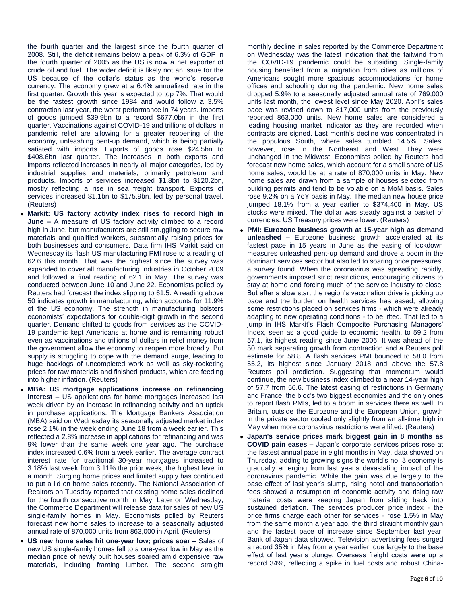the fourth quarter and the largest since the fourth quarter of 2008. Still, the deficit remains below a peak of 6.3% of GDP in the fourth quarter of 2005 as the US is now a net exporter of crude oil and fuel. The wider deficit is likely not an issue for the US because of the dollar's status as the world's reserve currency. The economy grew at a 6.4% annualized rate in the first quarter. Growth this year is expected to top 7%. That would be the fastest growth since 1984 and would follow a 3.5% contraction last year, the worst performance in 74 years. Imports of goods jumped \$39.9bn to a record \$677.0bn in the first quarter. Vaccinations against COVID-19 and trillions of dollars in pandemic relief are allowing for a greater reopening of the economy, unleashing pent-up demand, which is being partially satiated with imports. Exports of goods rose \$24.5bn to \$408.6bn last quarter. The increases in both exports and imports reflected increases in nearly all major categories, led by industrial supplies and materials, primarily petroleum and products. Imports of services increased \$1.8bn to \$120.2bn, mostly reflecting a rise in sea freight transport. Exports of services increased \$1.1bn to \$175.9bn, led by personal travel. (Reuters)

- **Markit: US factory activity index rises to record high in June –** A measure of US factory activity climbed to a record high in June, but manufacturers are still struggling to secure raw materials and qualified workers, substantially raising prices for both businesses and consumers. Data firm IHS Markit said on Wednesday its flash US manufacturing PMI rose to a reading of 62.6 this month. That was the highest since the survey was expanded to cover all manufacturing industries in October 2009 and followed a final reading of 62.1 in May. The survey was conducted between June 10 and June 22. Economists polled by Reuters had forecast the index slipping to 61.5. A reading above 50 indicates growth in manufacturing, which accounts for 11.9% of the US economy. The strength in manufacturing bolsters economists' expectations for double-digit growth in the second quarter. Demand shifted to goods from services as the COVID-19 pandemic kept Americans at home and is remaining robust even as vaccinations and trillions of dollars in relief money from the government allow the economy to reopen more broadly. But supply is struggling to cope with the demand surge, leading to huge backlogs of uncompleted work as well as sky-rocketing prices for raw materials and finished products, which are feeding into higher inflation. (Reuters)
- **MBA: US mortgage applications increase on refinancing interest –** US applications for home mortgages increased last week driven by an increase in refinancing activity and an uptick in purchase applications. The Mortgage Bankers Association (MBA) said on Wednesday its seasonally adjusted market index rose 2.1% in the week ending June 18 from a week earlier. This reflected a 2.8% increase in applications for refinancing and was 9% lower than the same week one year ago. The purchase index increased 0.6% from a week earlier. The average contract interest rate for traditional 30-year mortgages increased to 3.18% last week from 3.11% the prior week, the highest level in a month. Surging home prices and limited supply has continued to put a lid on home sales recently. The National Association of Realtors on Tuesday reported that existing home sales declined for the fourth consecutive month in May. Later on Wednesday, the Commerce Department will release data for sales of new US single-family homes in May. Economists polled by Reuters forecast new home sales to increase to a seasonally adjusted annual rate of 870,000 units from 863,000 in April. (Reuters)
- **US new home sales hit one-year low; prices soar –** Sales of new US single-family homes fell to a one-year low in May as the median price of newly built houses soared amid expensive raw materials, including framing lumber. The second straight

monthly decline in sales reported by the Commerce Department on Wednesday was the latest indication that the tailwind from the COVID-19 pandemic could be subsiding. Single-family housing benefited from a migration from cities as millions of Americans sought more spacious accommodations for home offices and schooling during the pandemic. New home sales dropped 5.9% to a seasonally adjusted annual rate of 769,000 units last month, the lowest level since May 2020. April's sales pace was revised down to 817,000 units from the previously reported 863,000 units. New home sales are considered a leading housing market indicator as they are recorded when contracts are signed. Last month's decline was concentrated in the populous South, where sales tumbled 14.5%. Sales, however, rose in the Northeast and West. They were unchanged in the Midwest. Economists polled by Reuters had forecast new home sales, which account for a small share of US home sales, would be at a rate of 870,000 units in May. New home sales are drawn from a sample of houses selected from building permits and tend to be volatile on a MoM basis. Sales rose 9.2% on a YoY basis in May. The median new house price jumped 18.1% from a year earlier to \$374,400 in May. US stocks were mixed. The dollar was steady against a basket of currencies. US Treasury prices were lower. (Reuters)

- **PMI: Eurozone business growth at 15-year high as demand unleashed –** Eurozone business growth accelerated at its fastest pace in 15 years in June as the easing of lockdown measures unleashed pent-up demand and drove a boom in the dominant services sector but also led to soaring price pressures, a survey found. When the coronavirus was spreading rapidly, governments imposed strict restrictions, encouraging citizens to stay at home and forcing much of the service industry to close. But after a slow start the region's vaccination drive is picking up pace and the burden on health services has eased, allowing some restrictions placed on services firms - which were already adapting to new operating conditions - to be lifted. That led to a jump in IHS Markit's Flash Composite Purchasing Managers' Index, seen as a good guide to economic health, to 59.2 from 57.1, its highest reading since June 2006. It was ahead of the 50 mark separating growth from contraction and a Reuters poll estimate for 58.8. A flash services PMI bounced to 58.0 from 55.2, its highest since January 2018 and above the 57.8 Reuters poll prediction. Suggesting that momentum would continue, the new business index climbed to a near 14-year high of 57.7 from 56.6. The latest easing of restrictions in Germany and France, the bloc's two biggest economies and the only ones to report flash PMIs, led to a boom in services there as well. In Britain, outside the Eurozone and the European Union, growth in the private sector cooled only slightly from an all-time high in May when more coronavirus restrictions were lifted. (Reuters)
- **Japan's service prices mark biggest gain in 8 months as COVID pain eases –** Japan's corporate services prices rose at the fastest annual pace in eight months in May, data showed on Thursday, adding to growing signs the world's no. 3 economy is gradually emerging from last year's devastating impact of the coronavirus pandemic. While the gain was due largely to the base effect of last year's slump, rising hotel and transportation fees showed a resumption of economic activity and rising raw material costs were keeping Japan from sliding back into sustained deflation. The services producer price index - the price firms charge each other for services - rose 1.5% in May from the same month a year ago, the third straight monthly gain and the fastest pace of increase since September last year, Bank of Japan data showed. Television advertising fees surged a record 35% in May from a year earlier, due largely to the base effect of last year's plunge. Overseas freight costs were up a record 34%, reflecting a spike in fuel costs and robust China-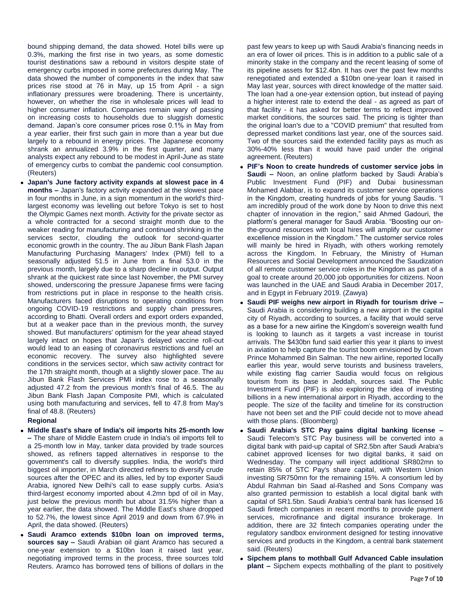bound shipping demand, the data showed. Hotel bills were up 0.3%, marking the first rise in two years, as some domestic tourist destinations saw a rebound in visitors despite state of emergency curbs imposed in some prefectures during May. The data showed the number of components in the index that saw prices rise stood at 76 in May, up 15 from April - a sign inflationary pressures were broadening. There is uncertainty, however, on whether the rise in wholesale prices will lead to higher consumer inflation. Companies remain wary of passing on increasing costs to households due to sluggish domestic demand. Japan's core consumer prices rose 0.1% in May from a year earlier, their first such gain in more than a year but due largely to a rebound in energy prices. The Japanese economy shrank an annualized 3.9% in the first quarter, and many analysts expect any rebound to be modest in April-June as state of emergency curbs to combat the pandemic cool consumption. (Reuters)

 **Japan's June factory activity expands at slowest pace in 4 months –** Japan's factory activity expanded at the slowest pace in four months in June, in a sign momentum in the world's thirdlargest economy was levelling out before Tokyo is set to host the Olympic Games next month. Activity for the private sector as a whole contracted for a second straight month due to the weaker reading for manufacturing and continued shrinking in the services sector, clouding the outlook for second-quarter economic growth in the country. The au Jibun Bank Flash Japan Manufacturing Purchasing Managers' Index (PMI) fell to a seasonally adjusted 51.5 in June from a final 53.0 in the previous month, largely due to a sharp decline in output. Output shrank at the quickest rate since last November, the PMI survey showed, underscoring the pressure Japanese firms were facing from restrictions put in place in response to the health crisis. Manufacturers faced disruptions to operating conditions from ongoing COVID-19 restrictions and supply chain pressures, according to Bhatti. Overall orders and export orders expanded, but at a weaker pace than in the previous month, the survey showed. But manufacturers' optimism for the year ahead stayed largely intact on hopes that Japan's delayed vaccine roll-out would lead to an easing of coronavirus restrictions and fuel an economic recovery. The survey also highlighted severe conditions in the services sector, which saw activity contract for the 17th straight month, though at a slightly slower pace. The au Jibun Bank Flash Services PMI index rose to a seasonally adjusted 47.2 from the previous month's final of 46.5. The au Jibun Bank Flash Japan Composite PMI, which is calculated using both manufacturing and services, fell to 47.8 from May's final of 48.8. (Reuters)

#### **Regional**

- **Middle East's share of India's oil imports hits 25-month low –** The share of Middle Eastern crude in India's oil imports fell to a 25-month low in May, tanker data provided by trade sources showed, as refiners tapped alternatives in response to the government's call to diversify supplies. India, the world's third biggest oil importer, in March directed refiners to diversify crude sources after the OPEC and its allies, led by top exporter Saudi Arabia, ignored New Delhi's call to ease supply curbs. Asia's third-largest economy imported about 4.2mn bpd of oil in May, just below the previous month but about 31.5% higher than a year earlier, the data showed. The Middle East's share dropped to 52.7%, the lowest since April 2019 and down from 67.9% in April, the data showed. (Reuters)
- **Saudi Aramco extends \$10bn loan on improved terms, sources say –** Saudi Arabian oil giant Aramco has secured a one-year extension to a \$10bn loan it raised last year, negotiating improved terms in the process, three sources told Reuters. Aramco has borrowed tens of billions of dollars in the

past few years to keep up with Saudi Arabia's financing needs in an era of lower oil prices. This is in addition to a public sale of a minority stake in the company and the recent leasing of some of its pipeline assets for \$12.4bn. It has over the past few months renegotiated and extended a \$10bn one-year loan it raised in May last year, sources with direct knowledge of the matter said. The loan had a one-year extension option, but instead of paying a higher interest rate to extend the deal - as agreed as part of that facility - it has asked for better terms to reflect improved market conditions, the sources said. The pricing is tighter than the original loan's due to a "COVID premium" that resulted from depressed market conditions last year, one of the sources said. Two of the sources said the extended facility pays as much as 30%-40% less than it would have paid under the original agreement. (Reuters)

- **PIF's Noon to create hundreds of customer service jobs in Saudi –** Noon, an online platform backed by Saudi Arabia's Public Investment Fund (PIF) and Dubai businessman Mohamed Alabbar, is to expand its customer service operations in the Kingdom, creating hundreds of jobs for young Saudis. "I am incredibly proud of the work done by Noon to drive this next chapter of innovation in the region," said Ahmed Gadouri, the platform's general manager for Saudi Arabia. "Boosting our onthe-ground resources with local hires will amplify our customer excellence mission in the Kingdom." The customer service roles will mainly be hired in Riyadh, with others working remotely across the Kingdom. In February, the Ministry of Human Resources and Social Development announced the Saudization of all remote customer service roles in the Kingdom as part of a goal to create around 20,000 job opportunities for citizens. Noon was launched in the UAE and Saudi Arabia in December 2017, and in Egypt in February 2019. (Zawya)
- **Saudi PIF weighs new airport in Riyadh for tourism drive –** Saudi Arabia is considering building a new airport in the capital city of Riyadh, according to sources, a facility that would serve as a base for a new airline the Kingdom's sovereign wealth fund is looking to launch as it targets a vast increase in tourist arrivals. The \$430bn fund said earlier this year it plans to invest in aviation to help capture the tourist boom envisioned by Crown Prince Mohammed Bin Salman. The new airline, reported locally earlier this year, would serve tourists and business travelers, while existing flag carrier Saudia would focus on religious tourism from its base in Jeddah, sources said. The Public Investment Fund (PIF) is also exploring the idea of investing billions in a new international airport in Riyadh, according to the people. The size of the facility and timeline for its construction have not been set and the PIF could decide not to move ahead with those plans. (Bloomberg)
- **Saudi Arabia's STC Pay gains digital banking license –** Saudi Telecom's STC Pay business will be converted into a digital bank with paid-up capital of SR2.5bn after Saudi Arabia's cabinet approved licenses for two digital banks, it said on Wednesday. The company will inject additional SR802mn to retain 85% of STC Pay's share capital, with Western Union investing SR750mn for the remaining 15%. A consortium led by Abdul Rahman bin Saad al-Rashed and Sons Company was also granted permission to establish a local digital bank with capital of SR1.5bn. Saudi Arabia's central bank has licensed 16 Saudi fintech companies in recent months to provide payment services, microfinance and digital insurance brokerage. In addition, there are 32 fintech companies operating under the regulatory sandbox environment designed for testing innovative services and products in the Kingdom, a central bank statement said. (Reuters)
- **Sipchem plans to mothball Gulf Advanced Cable insulation plant –** Sipchem expects mothballing of the plant to positively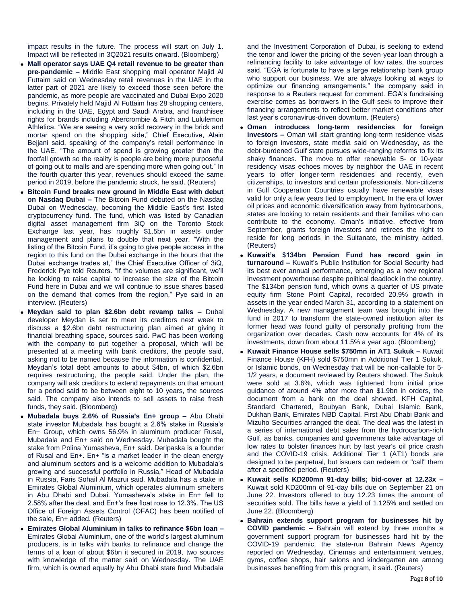impact results in the future. The process will start on July 1. Impact will be reflected in 3Q2021 results onward. (Bloomberg)

- **Mall operator says UAE Q4 retail revenue to be greater than pre-pandemic –** Middle East shopping mall operator Majid Al Futtaim said on Wednesday retail revenues in the UAE in the latter part of 2021 are likely to exceed those seen before the pandemic, as more people are vaccinated and Dubai Expo 2020 begins. Privately held Majid Al Futtaim has 28 shopping centers, including in the UAE, Egypt and Saudi Arabia, and franchisee rights for brands including Abercrombie & Fitch and Lululemon Athletica. "We are seeing a very solid recovery in the brick and mortar spend on the shopping side," Chief Executive, Alain Bejjani said, speaking of the company's retail performance in the UAE. "The amount of spend is growing greater than the footfall growth so the reality is people are being more purposeful of going out to malls and are spending more when going out." In the fourth quarter this year, revenues should exceed the same period in 2019, before the pandemic struck, he said. (Reuters)
- **Bitcoin Fund breaks new ground in Middle East with debut on Nasdaq Dubai –** The Bitcoin Fund debuted on the Nasdaq Dubai on Wednesday, becoming the Middle East's first listed cryptocurrency fund. The fund, which was listed by Canadian digital asset management firm 3iQ on the Toronto Stock Exchange last year, has roughly \$1.5bn in assets under management and plans to double that next year. "With the listing of the Bitcoin Fund, it's going to give people access in the region to this fund on the Dubai exchange in the hours that the Dubai exchange trades at," the Chief Executive Officer of 3iQ, Frederick Pye told Reuters. "If the volumes are significant, we'll be looking to raise capital to increase the size of the Bitcoin Fund here in Dubai and we will continue to issue shares based on the demand that comes from the region," Pye said in an interview. (Reuters)
- **Meydan said to plan \$2.6bn debt revamp talks –** Dubai developer Meydan is set to meet its creditors next week to discuss a \$2.6bn debt restructuring plan aimed at giving it financial breathing space, sources said. PwC has been working with the company to put together a proposal, which will be presented at a meeting with bank creditors, the people said, asking not to be named because the information is confidential. Meydan's total debt amounts to about \$4bn, of which \$2.6bn requires restructuring, the people said. Under the plan, the company will ask creditors to extend repayments on that amount for a period said to be between eight to 10 years, the sources said. The company also intends to sell assets to raise fresh funds, they said. (Bloomberg)
- **Mubadala buys 2.6% of Russia's En+ group –** Abu Dhabi state investor Mubadala has bought a 2.6% stake in Russia's En+ Group, which owns 56.9% in aluminum producer Rusal, Mubadala and En+ said on Wednesday. Mubadala bought the stake from Polina Yumasheva, En+ said. Deripaska is a founder of Rusal and En+. En+ "is a market leader in the clean energy and aluminum sectors and is a welcome addition to Mubadala's growing and successful portfolio in Russia," Head of Mubadala in Russia, Faris Sohail Al Mazrui said. Mubadala has a stake in Emirates Global Aluminium, which operates aluminum smelters in Abu Dhabi and Dubai. Yumasheva's stake in En+ fell to 2.58% after the deal, and En+'s free float rose to 12.3%. The US Office of Foreign Assets Control (OFAC) has been notified of the sale, En+ added. (Reuters)
- **Emirates Global Aluminium in talks to refinance \$6bn loan –** Emirates Global Aluminium, one of the world's largest aluminum producers, is in talks with banks to refinance and change the terms of a loan of about \$6bn it secured in 2019, two sources with knowledge of the matter said on Wednesday. The UAE firm, which is owned equally by Abu Dhabi state fund Mubadala

and the Investment Corporation of Dubai, is seeking to extend the tenor and lower the pricing of the seven-year loan through a refinancing facility to take advantage of low rates, the sources said. "EGA is fortunate to have a large relationship bank group who support our business. We are always looking at ways to optimize our financing arrangements," the company said in response to a Reuters request for comment. EGA's fundraising exercise comes as borrowers in the Gulf seek to improve their financing arrangements to reflect better market conditions after last year's coronavirus-driven downturn. (Reuters)

- **Oman introduces long-term residencies for foreign investors –** Oman will start granting long-term residence visas to foreign investors, state media said on Wednesday, as the debt-burdened Gulf state pursues wide-ranging reforms to fix its shaky finances. The move to offer renewable 5- or 10-year residency visas echoes moves by neighbor the UAE in recent years to offer longer-term residencies and recently, even citizenships, to investors and certain professionals. Non-citizens in Gulf Cooperation Countries usually have renewable visas valid for only a few years tied to employment. In the era of lower oil prices and economic diversification away from hydrocarbons, states are looking to retain residents and their families who can contribute to the economy. Oman's initiative, effective from September, grants foreign investors and retirees the right to reside for long periods in the Sultanate, the ministry added. (Reuters)
- **Kuwait's \$134bn Pension Fund has record gain in turnaround –** Kuwait's Public Institution for Social Security had its best ever annual performance, emerging as a new regional investment powerhouse despite political deadlock in the country. The \$134bn pension fund, which owns a quarter of US private equity firm Stone Point Capital, recorded 20.9% growth in assets in the year ended March 31, according to a statement on Wednesday. A new management team was brought into the fund in 2017 to transform the state-owned institution after its former head was found guilty of personally profiting from the organization over decades. Cash now accounts for 4% of its investments, down from about 11.5% a year ago. (Bloomberg)
- **Kuwait Finance House sells \$750mn in AT1 Sukuk –** Kuwait Finance House (KFH) sold \$750mn in Additional Tier 1 Sukuk, or Islamic bonds, on Wednesday that will be non-callable for 5- 1/2 years, a document reviewed by Reuters showed. The Sukuk were sold at 3.6%, which was tightened from initial price guidance of around 4% after more than \$1.9bn in orders, the document from a bank on the deal showed. KFH Capital, Standard Chartered, Boubyan Bank, Dubai Islamic Bank, Dukhan Bank, Emirates NBD Capital, First Abu Dhabi Bank and Mizuho Securities arranged the deal. The deal was the latest in a series of international debt sales from the hydrocarbon-rich Gulf, as banks, companies and governments take advantage of low rates to bolster finances hurt by last year's oil price crash and the COVID-19 crisis. Additional Tier 1 (AT1) bonds are designed to be perpetual, but issuers can redeem or "call" them after a specified period. (Reuters)
- **Kuwait sells KD200mn 91-day bills; bid-cover at 12.23x –** Kuwait sold KD200mn of 91-day bills due on September 21 on June 22. Investors offered to buy 12.23 times the amount of securities sold. The bills have a yield of 1.125% and settled on June 22. (Bloomberg)
- **Bahrain extends support program for businesses hit by COVID pandemic –** Bahrain will extend by three months a government support program for businesses hard hit by the COVID-19 pandemic, the state-run Bahrain News Agency reported on Wednesday. Cinemas and entertainment venues, gyms, coffee shops, hair salons and kindergarten are among businesses benefiting from this program, it said. (Reuters)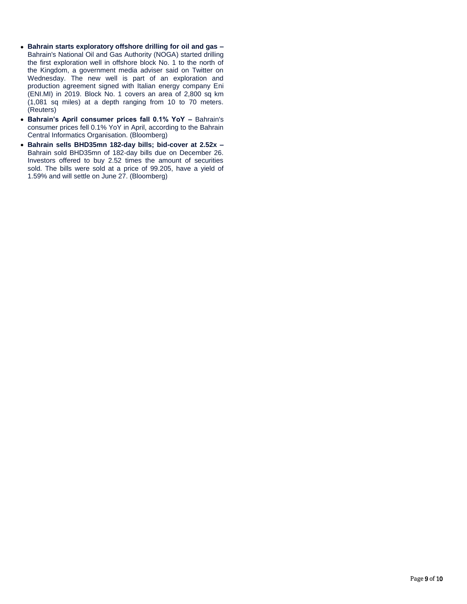- **Bahrain starts exploratory offshore drilling for oil and gas –** Bahrain's National Oil and Gas Authority (NOGA) started drilling the first exploration well in offshore block No. 1 to the north of the Kingdom, a government media adviser said on Twitter on Wednesday. The new well is part of an exploration and production agreement signed with Italian energy company Eni (ENI.MI) in 2019. Block No. 1 covers an area of 2,800 sq km (1,081 sq miles) at a depth ranging from 10 to 70 meters. (Reuters)
- **Bahrain's April consumer prices fall 0.1% YoY –** Bahrain's consumer prices fell 0.1% YoY in April, according to the Bahrain Central Informatics Organisation. (Bloomberg)
- **Bahrain sells BHD35mn 182-day bills; bid-cover at 2.52x –** Bahrain sold BHD35mn of 182-day bills due on December 26. Investors offered to buy 2.52 times the amount of securities sold. The bills were sold at a price of 99.205, have a yield of 1.59% and will settle on June 27. (Bloomberg)